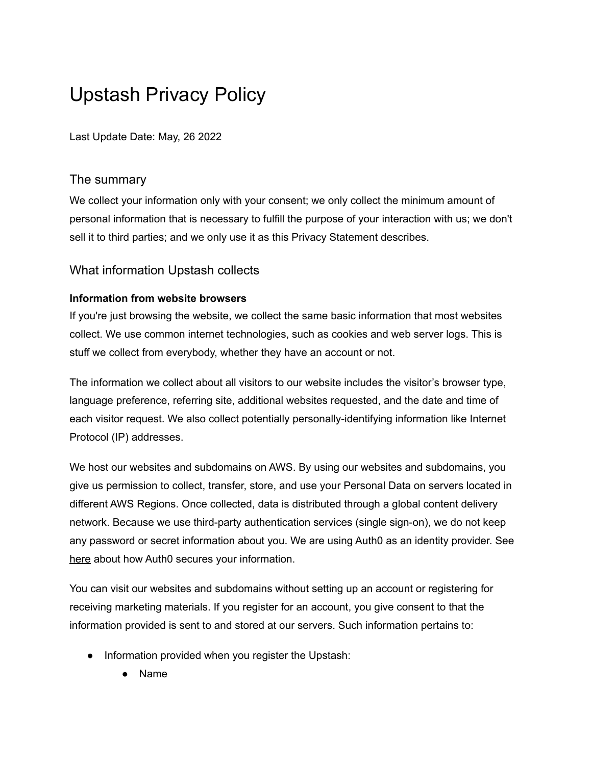# Upstash Privacy Policy

Last Update Date: May, 26 2022

## The summary

We collect your information only with your consent; we only collect the minimum amount of personal information that is necessary to fulfill the purpose of your interaction with us; we don't sell it to third parties; and we only use it as this Privacy Statement describes.

# What information Upstash collects

### **Information from website browsers**

If you're just browsing the website, we collect the same basic information that most websites collect. We use common internet technologies, such as cookies and web server logs. This is stuff we collect from everybody, whether they have an account or not.

The information we collect about all visitors to our website includes the visitor's browser type, language preference, referring site, additional websites requested, and the date and time of each visitor request. We also collect potentially personally-identifying information like Internet Protocol (IP) addresses.

We host our websites and subdomains on AWS. By using our websites and subdomains, you give us permission to collect, transfer, store, and use your Personal Data on servers located in different AWS Regions. Once collected, data is distributed through a global content delivery network. Because we use third-party authentication services (single sign-on), we do not keep any password or secret information about you. We are using Auth0 as an identity provider. See [here](https://auth0.com/privacy) about how Auth0 secures your information.

You can visit our websites and subdomains without setting up an account or registering for receiving marketing materials. If you register for an account, you give consent to that the information provided is sent to and stored at our servers. Such information pertains to:

- Information provided when you register the Upstash:
	- **Name**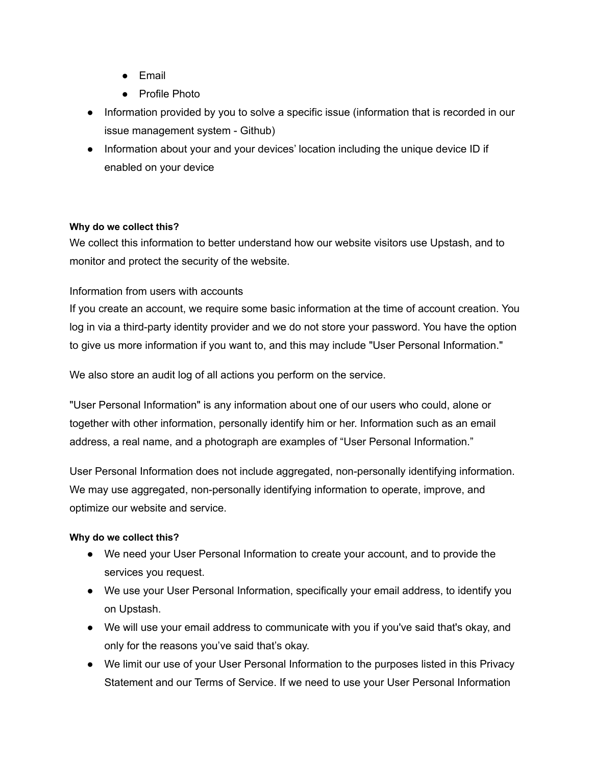- Email
- Profile Photo
- Information provided by you to solve a specific issue (information that is recorded in our issue management system - Github)
- Information about your and your devices' location including the unique device ID if enabled on your device

#### **Why do we collect this?**

We collect this information to better understand how our website visitors use Upstash, and to monitor and protect the security of the website.

### Information from users with accounts

If you create an account, we require some basic information at the time of account creation. You log in via a third-party identity provider and we do not store your password. You have the option to give us more information if you want to, and this may include "User Personal Information."

We also store an audit log of all actions you perform on the service.

"User Personal Information" is any information about one of our users who could, alone or together with other information, personally identify him or her. Information such as an email address, a real name, and a photograph are examples of "User Personal Information."

User Personal Information does not include aggregated, non-personally identifying information. We may use aggregated, non-personally identifying information to operate, improve, and optimize our website and service.

#### **Why do we collect this?**

- We need your User Personal Information to create your account, and to provide the services you request.
- We use your User Personal Information, specifically your email address, to identify you on Upstash.
- We will use your email address to communicate with you if you've said that's okay, and only for the reasons you've said that's okay.
- We limit our use of your User Personal Information to the purposes listed in this Privacy Statement and our Terms of Service. If we need to use your User Personal Information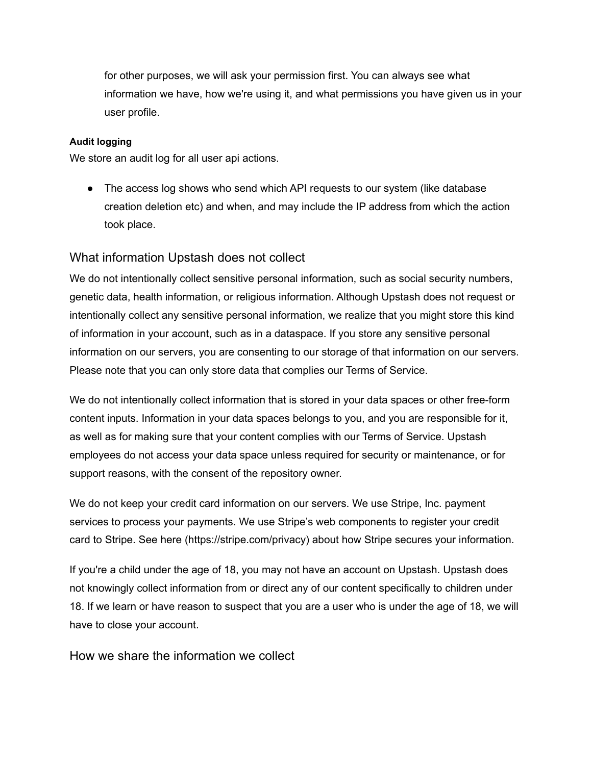for other purposes, we will ask your permission first. You can always see what information we have, how we're using it, and what permissions you have given us in your user profile.

#### **Audit logging**

We store an audit log for all user api actions.

• The access log shows who send which API requests to our system (like database) creation deletion etc) and when, and may include the IP address from which the action took place.

### What information Upstash does not collect

We do not intentionally collect sensitive personal information, such as social security numbers, genetic data, health information, or religious information. Although Upstash does not request or intentionally collect any sensitive personal information, we realize that you might store this kind of information in your account, such as in a dataspace. If you store any sensitive personal information on our servers, you are consenting to our storage of that information on our servers. Please note that you can only store data that complies our Terms of Service.

We do not intentionally collect information that is stored in your data spaces or other free-form content inputs. Information in your data spaces belongs to you, and you are responsible for it, as well as for making sure that your content complies with our Terms of Service. Upstash employees do not access your data space unless required for security or maintenance, or for support reasons, with the consent of the repository owner.

We do not keep your credit card information on our servers. We use Stripe, Inc. payment services to process your payments. We use Stripe's web components to register your credit card to Stripe. See here (https://stripe.com/privacy) about how Stripe secures your information.

If you're a child under the age of 18, you may not have an account on Upstash. Upstash does not knowingly collect information from or direct any of our content specifically to children under 18. If we learn or have reason to suspect that you are a user who is under the age of 18, we will have to close your account.

How we share the information we collect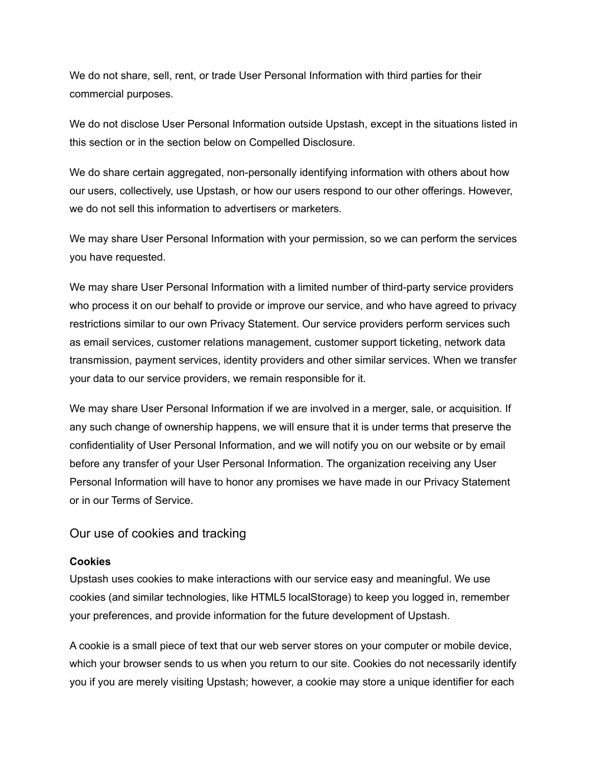We do not share, sell, rent, or trade User Personal Information with third parties for their commercial purposes.

We do not disclose User Personal Information outside Upstash, except in the situations listed in this section or in the section below on Compelled Disclosure.

We do share certain aggregated, non-personally identifying information with others about how our users, collectively, use Upstash, or how our users respond to our other offerings. However, we do not sell this information to advertisers or marketers.

We may share User Personal Information with your permission, so we can perform the services you have requested.

We may share User Personal Information with a limited number of third-party service providers who process it on our behalf to provide or improve our service, and who have agreed to privacy restrictions similar to our own Privacy Statement. Our service providers perform services such as email services, customer relations management, customer support ticketing, network data transmission, payment services, identity providers and other similar services. When we transfer your data to our service providers, we remain responsible for it.

We may share User Personal Information if we are involved in a merger, sale, or acquisition. If any such change of ownership happens, we will ensure that it is under terms that preserve the confidentiality of User Personal Information, and we will notify you on our website or by email before any transfer of your User Personal Information. The organization receiving any User Personal Information will have to honor any promises we have made in our Privacy Statement or in our Terms of Service.

#### Our use of cookies and tracking

#### **Cookies**

Upstash uses cookies to make interactions with our service easy and meaningful. We use cookies (and similar technologies, like HTML5 localStorage) to keep you logged in, remember your preferences, and provide information for the future development of Upstash.

A cookie is a small piece of text that our web server stores on your computer or mobile device, which your browser sends to us when you return to our site. Cookies do not necessarily identify you if you are merely visiting Upstash; however, a cookie may store a unique identifier for each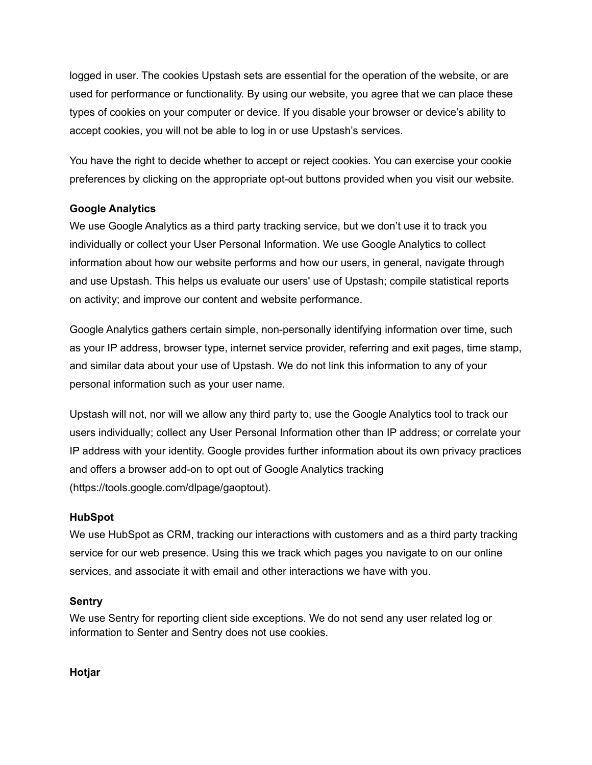logged in user. The cookies Upstash sets are essential for the operation of the website, or are used for performance or functionality. By using our website, you agree that we can place these types of cookies on your computer or device. If you disable your browser or device's ability to accept cookies, you will not be able to log in or use Upstash's services.

You have the right to decide whether to accept or reject cookies. You can exercise your cookie preferences by clicking on the appropriate opt-out buttons provided when you visit our website.

### **Google Analytics**

We use Google Analytics as a third party tracking service, but we don't use it to track you individually or collect your User Personal Information. We use Google Analytics to collect information about how our website performs and how our users, in general, navigate through and use Upstash. This helps us evaluate our users' use of Upstash; compile statistical reports on activity; and improve our content and website performance.

Google Analytics gathers certain simple, non-personally identifying information over time, such as your IP address, browser type, internet service provider, referring and exit pages, time stamp, and similar data about your use of Upstash. We do not link this information to any of your personal information such as your user name.

Upstash will not, nor will we allow any third party to, use the Google Analytics tool to track our users individually; collect any User Personal Information other than IP address; or correlate your IP address with your identity. Google provides further information about its own privacy practices and offers a browser add-on to opt out of Google Analytics tracking (https://tools.google.com/dlpage/gaoptout).

#### **HubSpot**

We use HubSpot as CRM, tracking our interactions with customers and as a third party tracking service for our web presence. Using this we track which pages you navigate to on our online services, and associate it with email and other interactions we have with you.

#### **Sentry**

We use Sentry for reporting client side exceptions. We do not send any user related log or information to Senter and Sentry does not use cookies.

**Hotjar**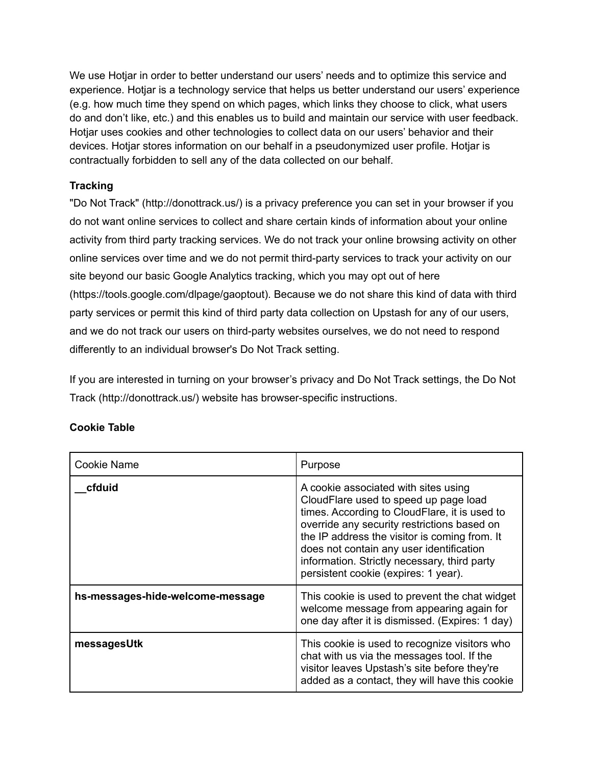We use Hotjar in order to better understand our users' needs and to optimize this service and experience. Hotjar is a technology service that helps us better understand our users' experience (e.g. how much time they spend on which pages, which links they choose to click, what users do and don't like, etc.) and this enables us to build and maintain our service with user feedback. Hotjar uses cookies and other technologies to collect data on our users' behavior and their devices. Hotjar stores information on our behalf in a pseudonymized user profile. Hotjar is contractually forbidden to sell any of the data collected on our behalf.

## **Tracking**

"Do Not Track" (http://donottrack.us/) is a privacy preference you can set in your browser if you do not want online services to collect and share certain kinds of information about your online activity from third party tracking services. We do not track your online browsing activity on other online services over time and we do not permit third-party services to track your activity on our site beyond our basic Google Analytics tracking, which you may opt out of here (https://tools.google.com/dlpage/gaoptout). Because we do not share this kind of data with third party services or permit this kind of third party data collection on Upstash for any of our users, and we do not track our users on third-party websites ourselves, we do not need to respond differently to an individual browser's Do Not Track setting.

If you are interested in turning on your browser's privacy and Do Not Track settings, the Do Not Track (http://donottrack.us/) website has browser-specific instructions.

| Cookie Name                      | Purpose                                                                                                                                                                                                                                                                                                                                                            |
|----------------------------------|--------------------------------------------------------------------------------------------------------------------------------------------------------------------------------------------------------------------------------------------------------------------------------------------------------------------------------------------------------------------|
| cfduid                           | A cookie associated with sites using<br>CloudFlare used to speed up page load<br>times. According to CloudFlare, it is used to<br>override any security restrictions based on<br>the IP address the visitor is coming from. It<br>does not contain any user identification<br>information. Strictly necessary, third party<br>persistent cookie (expires: 1 year). |
| hs-messages-hide-welcome-message | This cookie is used to prevent the chat widget<br>welcome message from appearing again for<br>one day after it is dismissed. (Expires: 1 day)                                                                                                                                                                                                                      |
| messagesUtk                      | This cookie is used to recognize visitors who<br>chat with us via the messages tool. If the<br>visitor leaves Upstash's site before they're<br>added as a contact, they will have this cookie                                                                                                                                                                      |

## **Cookie Table**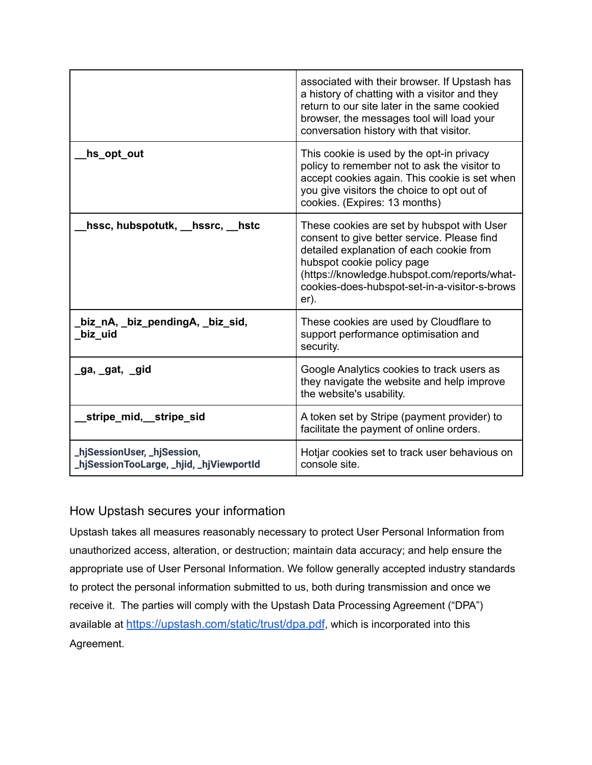|                                                                         | associated with their browser. If Upstash has<br>a history of chatting with a visitor and they<br>return to our site later in the same cookied<br>browser, the messages tool will load your<br>conversation history with that visitor.                                       |
|-------------------------------------------------------------------------|------------------------------------------------------------------------------------------------------------------------------------------------------------------------------------------------------------------------------------------------------------------------------|
| hs_opt_out                                                              | This cookie is used by the opt-in privacy<br>policy to remember not to ask the visitor to<br>accept cookies again. This cookie is set when<br>you give visitors the choice to opt out of<br>cookies. (Expires: 13 months)                                                    |
| hssc, hubspotutk, hssrc, hstc                                           | These cookies are set by hubspot with User<br>consent to give better service. Please find<br>detailed explanation of each cookie from<br>hubspot cookie policy page<br>(https://knowledge.hubspot.com/reports/what-<br>cookies-does-hubspot-set-in-a-visitor-s-brows<br>er). |
| biz_nA, _biz_pendingA, _biz_sid,<br>biz uid                             | These cookies are used by Cloudflare to<br>support performance optimisation and<br>security.                                                                                                                                                                                 |
| _ga, _gat, _gid                                                         | Google Analytics cookies to track users as<br>they navigate the website and help improve<br>the website's usability.                                                                                                                                                         |
| stripe_mid,__stripe_sid                                                 | A token set by Stripe (payment provider) to<br>facilitate the payment of online orders.                                                                                                                                                                                      |
| _hjSessionUser, _hjSession,<br>_hjSessionTooLarge, _hjid, _hjViewportId | Hotjar cookies set to track user behavious on<br>console site.                                                                                                                                                                                                               |

# How Upstash secures your information

Upstash takes all measures reasonably necessary to protect User Personal Information from unauthorized access, alteration, or destruction; maintain data accuracy; and help ensure the appropriate use of User Personal Information. We follow generally accepted industry standards to protect the personal information submitted to us, both during transmission and once we receive it. The parties will comply with the Upstash Data Processing Agreement ("DPA") available at <https://upstash.com/static/trust/dpa.pdf>, which is incorporated into this Agreement.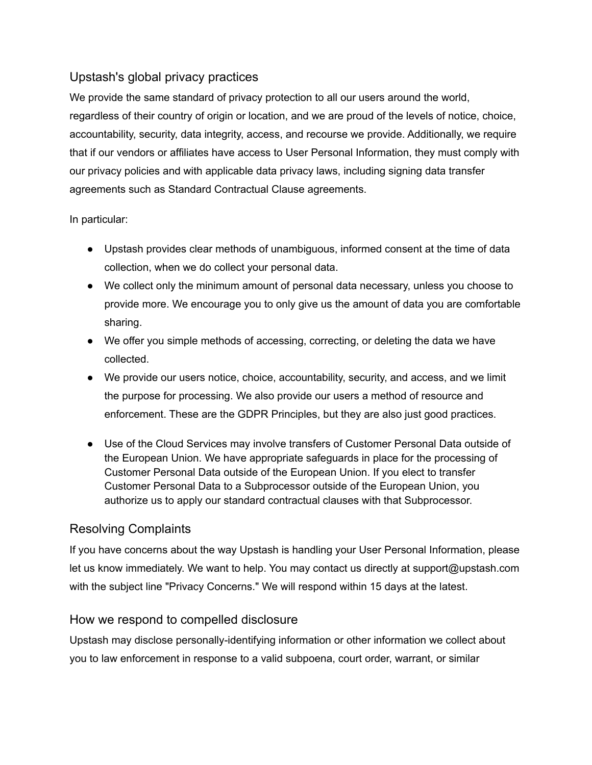# Upstash's global privacy practices

We provide the same standard of privacy protection to all our users around the world, regardless of their country of origin or location, and we are proud of the levels of notice, choice, accountability, security, data integrity, access, and recourse we provide. Additionally, we require that if our vendors or affiliates have access to User Personal Information, they must comply with our privacy policies and with applicable data privacy laws, including signing data transfer agreements such as Standard Contractual Clause agreements.

### In particular:

- Upstash provides clear methods of unambiguous, informed consent at the time of data collection, when we do collect your personal data.
- We collect only the minimum amount of personal data necessary, unless you choose to provide more. We encourage you to only give us the amount of data you are comfortable sharing.
- We offer you simple methods of accessing, correcting, or deleting the data we have collected.
- We provide our users notice, choice, accountability, security, and access, and we limit the purpose for processing. We also provide our users a method of resource and enforcement. These are the GDPR Principles, but they are also just good practices.
- Use of the Cloud Services may involve transfers of Customer Personal Data outside of the European Union. We have appropriate safeguards in place for the processing of Customer Personal Data outside of the European Union. If you elect to transfer Customer Personal Data to a Subprocessor outside of the European Union, you authorize us to apply our standard contractual clauses with that Subprocessor.

# Resolving Complaints

If you have concerns about the way Upstash is handling your User Personal Information, please let us know immediately. We want to help. You may contact us directly at support@upstash.com with the subject line "Privacy Concerns." We will respond within 15 days at the latest.

## How we respond to compelled disclosure

Upstash may disclose personally-identifying information or other information we collect about you to law enforcement in response to a valid subpoena, court order, warrant, or similar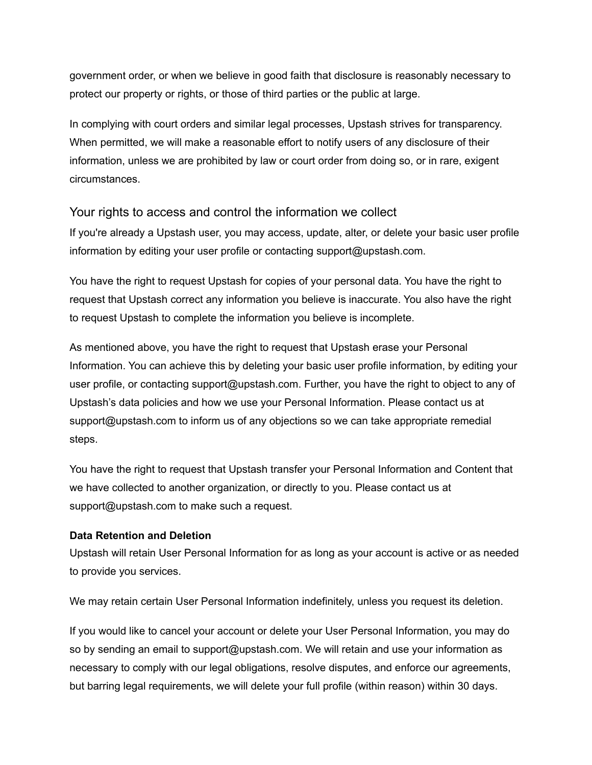government order, or when we believe in good faith that disclosure is reasonably necessary to protect our property or rights, or those of third parties or the public at large.

In complying with court orders and similar legal processes, Upstash strives for transparency. When permitted, we will make a reasonable effort to notify users of any disclosure of their information, unless we are prohibited by law or court order from doing so, or in rare, exigent circumstances.

## Your rights to access and control the information we collect

If you're already a Upstash user, you may access, update, alter, or delete your basic user profile information by editing your user profile or contacting support@upstash.com.

You have the right to request Upstash for copies of your personal data. You have the right to request that Upstash correct any information you believe is inaccurate. You also have the right to request Upstash to complete the information you believe is incomplete.

As mentioned above, you have the right to request that Upstash erase your Personal Information. You can achieve this by deleting your basic user profile information, by editing your user profile, or contacting support@upstash.com. Further, you have the right to object to any of Upstash's data policies and how we use your Personal Information. Please contact us at support@upstash.com to inform us of any objections so we can take appropriate remedial steps.

You have the right to request that Upstash transfer your Personal Information and Content that we have collected to another organization, or directly to you. Please contact us at support@upstash.com to make such a request.

#### **Data Retention and Deletion**

Upstash will retain User Personal Information for as long as your account is active or as needed to provide you services.

We may retain certain User Personal Information indefinitely, unless you request its deletion.

If you would like to cancel your account or delete your User Personal Information, you may do so by sending an email to support@upstash.com. We will retain and use your information as necessary to comply with our legal obligations, resolve disputes, and enforce our agreements, but barring legal requirements, we will delete your full profile (within reason) within 30 days.